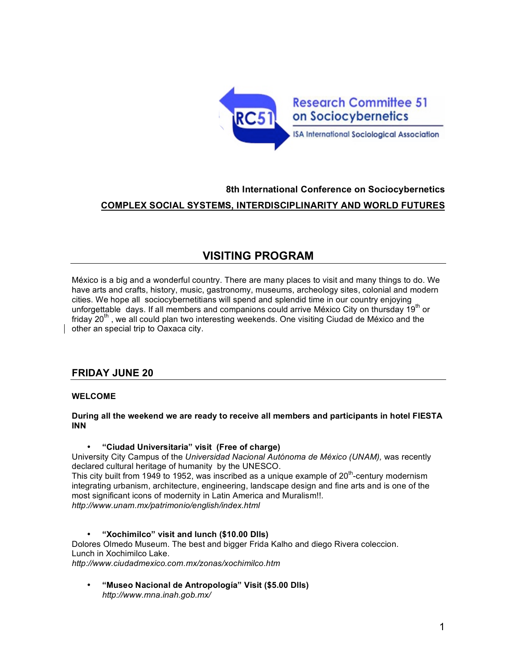

## **8th International Conference on Sociocybernetics COMPLEX SOCIAL SYSTEMS, INTERDISCIPLINARITY AND WORLD FUTURES**

# **VISITING PROGRAM**

México is a big and a wonderful country. There are many places to visit and many things to do. We have arts and crafts, history, music, gastronomy, museums, archeology sites, colonial and modern cities. We hope all sociocybernetitians will spend and splendid time in our country enjoying unforgettable days. If all members and companions could arrive México City on thursday 19<sup>th</sup> or friday  $20<sup>th</sup>$ , we all could plan two interesting weekends. One visiting Ciudad de México and the other an special trip to Oaxaca city.

## **FRIDAY JUNE 20**

### **WELCOME**

#### **During all the weekend we are ready to receive all members and participants in hotel FIESTA INN**

#### • **"Ciudad Universitaria" visit (Free of charge)**

University City Campus of the *Universidad Nacional Autónoma de México (UNAM),* was recently declared cultural heritage of humanity by the UNESCO.

This city built from 1949 to 1952, was inscribed as a unique example of  $20<sup>th</sup>$ -century modernism integrating urbanism, architecture, engineering, landscape design and fine arts and is one of the most significant icons of modernity in Latin America and Muralism!!.

*http://www.unam.mx/patrimonio/english/index.html*

#### • **"Xochimilco" visit and lunch (\$10.00 Dlls)** Dolores Olmedo Museum. The best and bigger Frida Kalho and diego Rivera coleccion.

Lunch in Xochimilco Lake.

*http://www.ciudadmexico.com.mx/zonas/xochimilco.htm*

• **"Museo Nacional de Antropología" Visit (\$5.00 Dlls)** *http://www.mna.inah.gob.mx/*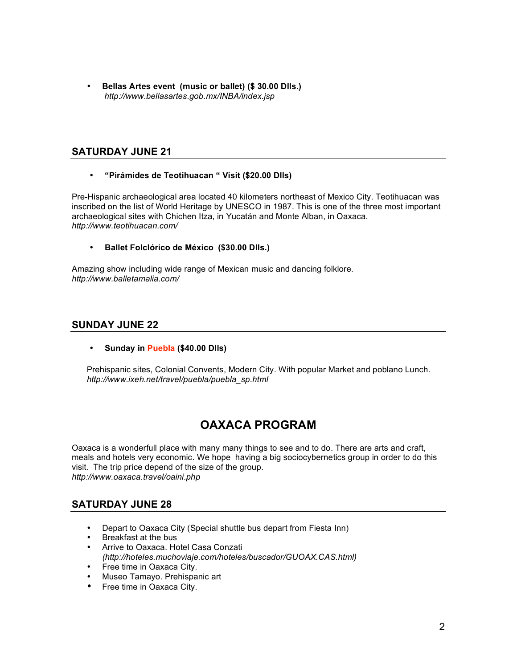• **Bellas Artes event (music or ballet) (\$ 30.00 Dlls.)** *http://www.bellasartes.gob.mx/INBA/index.jsp*

### **SATURDAY JUNE 21**

#### • **"Pirámides de Teotihuacan " Visit (\$20.00 Dlls)**

Pre-Hispanic archaeological area located 40 kilometers northeast of Mexico City. Teotihuacan was inscribed on the list of World Heritage by UNESCO in 1987. This is one of the three most important archaeological sites with Chichen Itza, in Yucatán and Monte Alban, in Oaxaca. *http://www.teotihuacan.com/*

#### • **Ballet Folclórico de México (\$30.00 Dlls.)**

Amazing show including wide range of Mexican music and dancing folklore. *http://www.balletamalia.com/*

### **SUNDAY JUNE 22**

### • **Sunday in Puebla (\$40.00 Dlls)**

Prehispanic sites, Colonial Convents, Modern City. With popular Market and poblano Lunch. *http://www.ixeh.net/travel/puebla/puebla\_sp.html*

# **OAXACA PROGRAM**

Oaxaca is a wonderfull place with many many things to see and to do. There are arts and craft, meals and hotels very economic. We hope having a big sociocybernetics group in order to do this visit. The trip price depend of the size of the group. *http://www.oaxaca.travel/oaini.php*

## **SATURDAY JUNE 28**

- Depart to Oaxaca City (Special shuttle bus depart from Fiesta Inn)
- Breakfast at the bus
- Arrive to Oaxaca. Hotel Casa Conzati *(http://hoteles.muchoviaje.com/hoteles/buscador/GUOAX.CAS.html)*
- Free time in Oaxaca City.
- Museo Tamayo. Prehispanic art
- Free time in Oaxaca City.